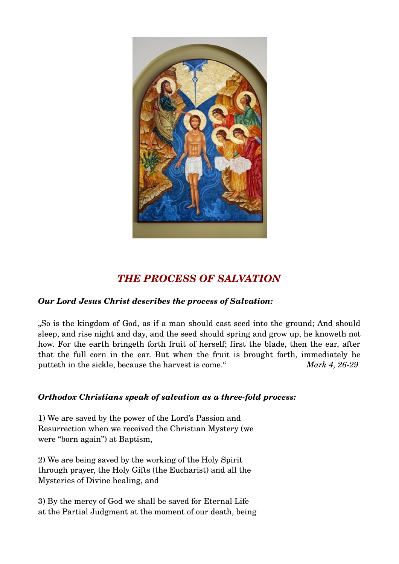

## *THE PROCESS OF SALVATION*

## *Our Lord Jesus Christ describes the process of Salvation:*

"So is the kingdom of God, as if a man should cast seed into the ground; And should sleep, and rise night and day, and the seed should spring and grow up, he knoweth not how. For the earth bringeth forth fruit of herself; first the blade, then the ear, after that the full corn in the ear. But when the fruit is brought forth, immediately he putteth in the sickle, because the harvest is come." *Mark 4, 26-29* 

## **Orthodox Christians speak of salvation as a three-fold process:**

1) We are saved by the power of the Lord's Passion and Resurrection when we received the Christian Mystery (we were "born again") at Baptism,

2) We are being saved by the working of the Holy Spirit through prayer, the Holy Gifts (the Eucharist) and all the Mysteries of Divine healing, and

3) By the mercy of God we shall be saved for Eternal Life at the Partial Judgment at the moment of our death, being